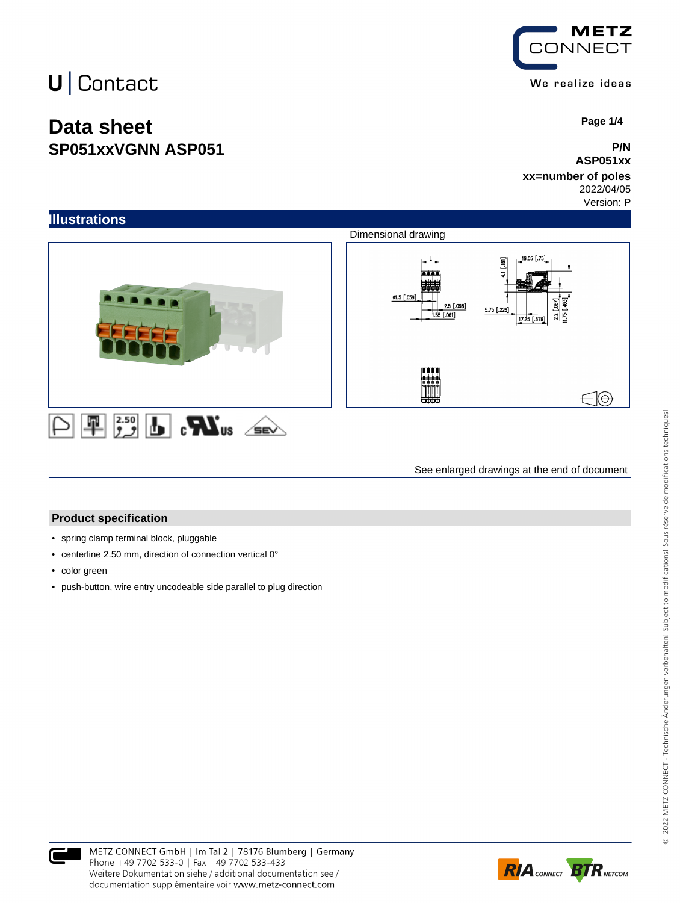### **Data sheet SP051xxVGNN ASP051**



 **Page 1/4**

#### **P/N ASP051xx**

#### **xx=number of poles** 2022/04/05

Version: P



See enlarged drawings at the end of document

#### **Product specification**

- spring clamp terminal block, pluggable
- centerline 2.50 mm, direction of connection vertical 0°
- color green
- push-button, wire entry uncodeable side parallel to plug direction



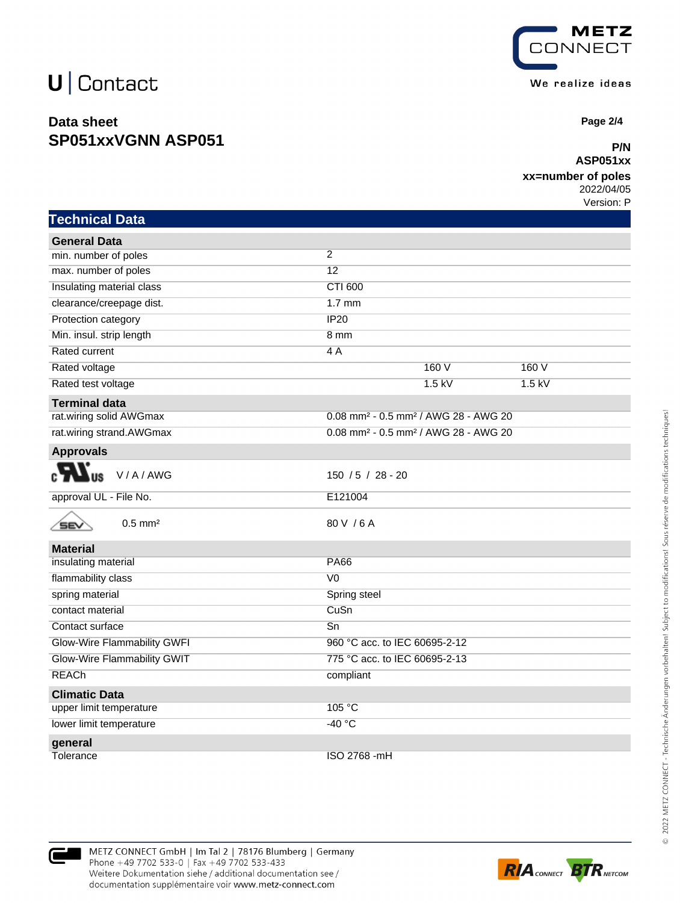### **Data sheet SP051xxVGNN ASP051**



 **Page 2/4**

#### **P/N ASP051xx**

#### **xx=number of poles**

2022/04/05 Version: P

| Technical Da <u>ta</u>              |                                                              |
|-------------------------------------|--------------------------------------------------------------|
| <b>General Data</b>                 |                                                              |
| min. number of poles                | $\overline{2}$                                               |
| max. number of poles                | $\overline{12}$                                              |
| Insulating material class           | CTI 600                                                      |
| clearance/creepage dist.            | $1.7 \text{ mm}$                                             |
| Protection category                 | <b>IP20</b>                                                  |
| Min. insul. strip length            | 8 <sub>mm</sub>                                              |
| Rated current                       | 4 A                                                          |
| Rated voltage                       | 160V<br>160 V                                                |
| Rated test voltage                  | $1.5$ kV<br>$1.5$ kV                                         |
| <b>Terminal data</b>                |                                                              |
| rat.wiring solid AWGmax             | 0.08 mm <sup>2</sup> - 0.5 mm <sup>2</sup> / AWG 28 - AWG 20 |
| rat.wiring strand.AWGmax            | 0.08 mm <sup>2</sup> - 0.5 mm <sup>2</sup> / AWG 28 - AWG 20 |
| <b>Approvals</b>                    |                                                              |
| V/A/AWG                             | 150 / 5 / 28 - 20                                            |
| approval UL - File No.              | E121004                                                      |
| $0.5$ mm <sup>2</sup><br><b>SEV</b> | 80 V / 6 A                                                   |
| <b>Material</b>                     |                                                              |
| insulating material                 | <b>PA66</b>                                                  |
| flammability class                  | $\overline{V}0$                                              |
| spring material                     | Spring steel                                                 |
| contact material                    | CuSn                                                         |
| Contact surface                     | Sn                                                           |
| Glow-Wire Flammability GWFI         | 960 °C acc. to IEC 60695-2-12                                |
| Glow-Wire Flammability GWIT         | 775 °C acc. to IEC 60695-2-13                                |
| <b>REACh</b>                        | compliant                                                    |
| <b>Climatic Data</b>                |                                                              |
| upper limit temperature             | 105 °C                                                       |
| lower limit temperature             | $-40 °C$                                                     |
| general                             |                                                              |
| Tolerance                           | ISO 2768 -mH                                                 |

METZ CONNECT GmbH | Im Tal 2 | 78176 Blumberg | Germany Phone +49 7702 533-0 | Fax +49 7702 533-433 Weitere Dokumentation siehe / additional documentation see / documentation supplémentaire voir www.metz-connect.com

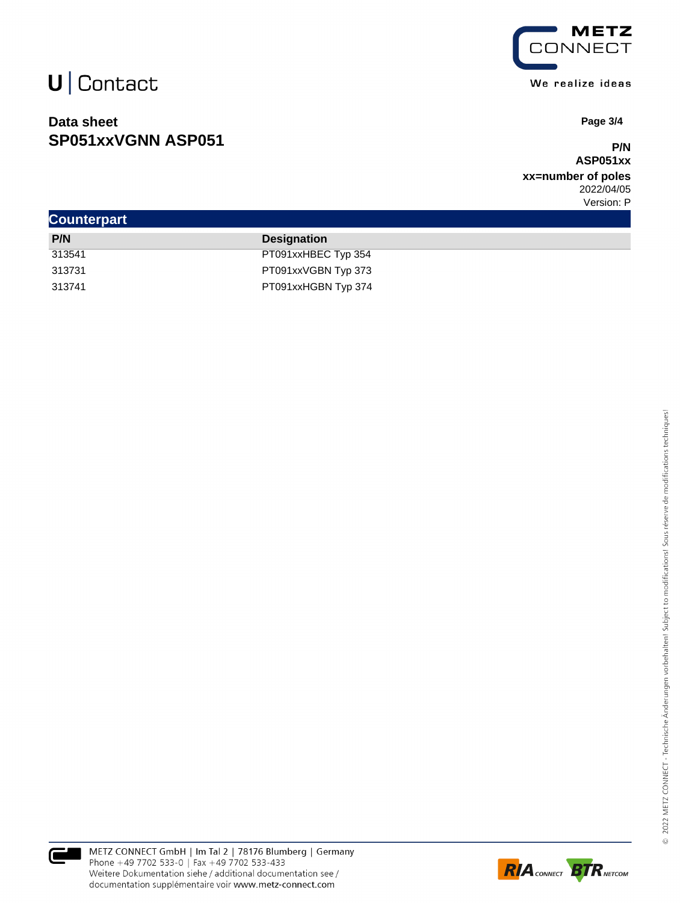### **Data sheet SP051xxVGNN ASP051**



 **Page 3/4**

#### **P/N ASP051xx**

**xx=number of poles** 2022/04/05 Version: P

| <b>Counterpart</b> |                     |
|--------------------|---------------------|
| P/N                | <b>Designation</b>  |
| 313541             | PT091xxHBEC Typ 354 |
| 313731             | PT091xxVGBN Typ 373 |
| 313741             | PT091xxHGBN Typ 374 |